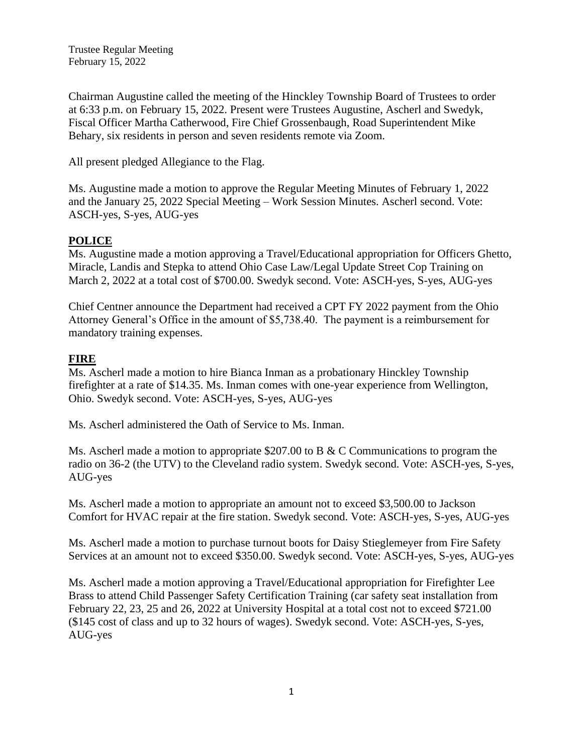Chairman Augustine called the meeting of the Hinckley Township Board of Trustees to order at 6:33 p.m. on February 15, 2022. Present were Trustees Augustine, Ascherl and Swedyk, Fiscal Officer Martha Catherwood, Fire Chief Grossenbaugh, Road Superintendent Mike Behary, six residents in person and seven residents remote via Zoom.

All present pledged Allegiance to the Flag.

Ms. Augustine made a motion to approve the Regular Meeting Minutes of February 1, 2022 and the January 25, 2022 Special Meeting – Work Session Minutes. Ascherl second. Vote: ASCH-yes, S-yes, AUG-yes

## **POLICE**

Ms. Augustine made a motion approving a Travel/Educational appropriation for Officers Ghetto, Miracle, Landis and Stepka to attend Ohio Case Law/Legal Update Street Cop Training on March 2, 2022 at a total cost of \$700.00. Swedyk second. Vote: ASCH-yes, S-yes, AUG-yes

Chief Centner announce the Department had received a CPT FY 2022 payment from the Ohio Attorney General's Office in the amount of \$5,738.40. The payment is a reimbursement for mandatory training expenses.

## **FIRE**

Ms. Ascherl made a motion to hire Bianca Inman as a probationary Hinckley Township firefighter at a rate of \$14.35. Ms. Inman comes with one-year experience from Wellington, Ohio. Swedyk second. Vote: ASCH-yes, S-yes, AUG-yes

Ms. Ascherl administered the Oath of Service to Ms. Inman.

Ms. Ascherl made a motion to appropriate \$207.00 to B & C Communications to program the radio on 36-2 (the UTV) to the Cleveland radio system. Swedyk second. Vote: ASCH-yes, S-yes, AUG-yes

Ms. Ascherl made a motion to appropriate an amount not to exceed \$3,500.00 to Jackson Comfort for HVAC repair at the fire station. Swedyk second. Vote: ASCH-yes, S-yes, AUG-yes

Ms. Ascherl made a motion to purchase turnout boots for Daisy Stieglemeyer from Fire Safety Services at an amount not to exceed \$350.00. Swedyk second. Vote: ASCH-yes, S-yes, AUG-yes

Ms. Ascherl made a motion approving a Travel/Educational appropriation for Firefighter Lee Brass to attend Child Passenger Safety Certification Training (car safety seat installation from February 22, 23, 25 and 26, 2022 at University Hospital at a total cost not to exceed \$721.00 (\$145 cost of class and up to 32 hours of wages). Swedyk second. Vote: ASCH-yes, S-yes, AUG-yes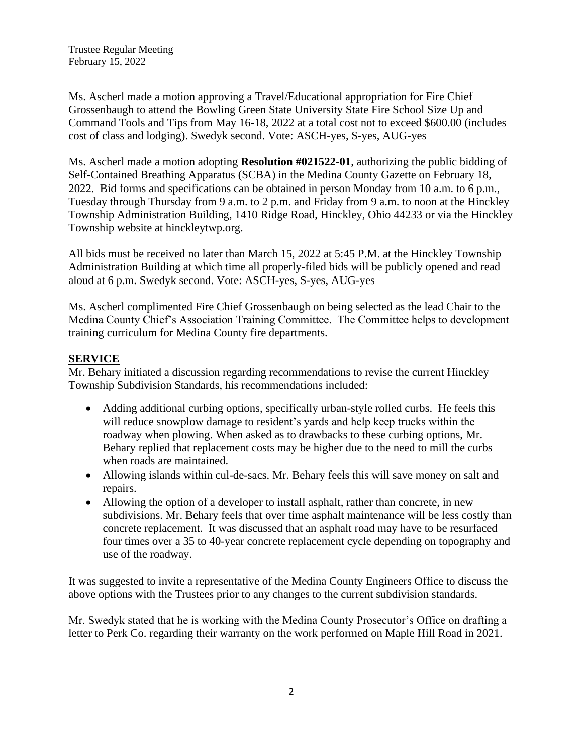Ms. Ascherl made a motion approving a Travel/Educational appropriation for Fire Chief Grossenbaugh to attend the Bowling Green State University State Fire School Size Up and Command Tools and Tips from May 16-18, 2022 at a total cost not to exceed \$600.00 (includes cost of class and lodging). Swedyk second. Vote: ASCH-yes, S-yes, AUG-yes

Ms. Ascherl made a motion adopting **Resolution #021522-01**, authorizing the public bidding of Self-Contained Breathing Apparatus (SCBA) in the Medina County Gazette on February 18, 2022. Bid forms and specifications can be obtained in person Monday from 10 a.m. to 6 p.m., Tuesday through Thursday from 9 a.m. to 2 p.m. and Friday from 9 a.m. to noon at the Hinckley Township Administration Building, 1410 Ridge Road, Hinckley, Ohio 44233 or via the Hinckley Township website at hinckleytwp.org.

All bids must be received no later than March 15, 2022 at 5:45 P.M. at the Hinckley Township Administration Building at which time all properly-filed bids will be publicly opened and read aloud at 6 p.m. Swedyk second. Vote: ASCH-yes, S-yes, AUG-yes

Ms. Ascherl complimented Fire Chief Grossenbaugh on being selected as the lead Chair to the Medina County Chief's Association Training Committee. The Committee helps to development training curriculum for Medina County fire departments.

# **SERVICE**

Mr. Behary initiated a discussion regarding recommendations to revise the current Hinckley Township Subdivision Standards, his recommendations included:

- Adding additional curbing options, specifically urban-style rolled curbs. He feels this will reduce snowplow damage to resident's yards and help keep trucks within the roadway when plowing. When asked as to drawbacks to these curbing options, Mr. Behary replied that replacement costs may be higher due to the need to mill the curbs when roads are maintained.
- Allowing islands within cul-de-sacs. Mr. Behary feels this will save money on salt and repairs.
- Allowing the option of a developer to install asphalt, rather than concrete, in new subdivisions. Mr. Behary feels that over time asphalt maintenance will be less costly than concrete replacement. It was discussed that an asphalt road may have to be resurfaced four times over a 35 to 40-year concrete replacement cycle depending on topography and use of the roadway.

It was suggested to invite a representative of the Medina County Engineers Office to discuss the above options with the Trustees prior to any changes to the current subdivision standards.

Mr. Swedyk stated that he is working with the Medina County Prosecutor's Office on drafting a letter to Perk Co. regarding their warranty on the work performed on Maple Hill Road in 2021.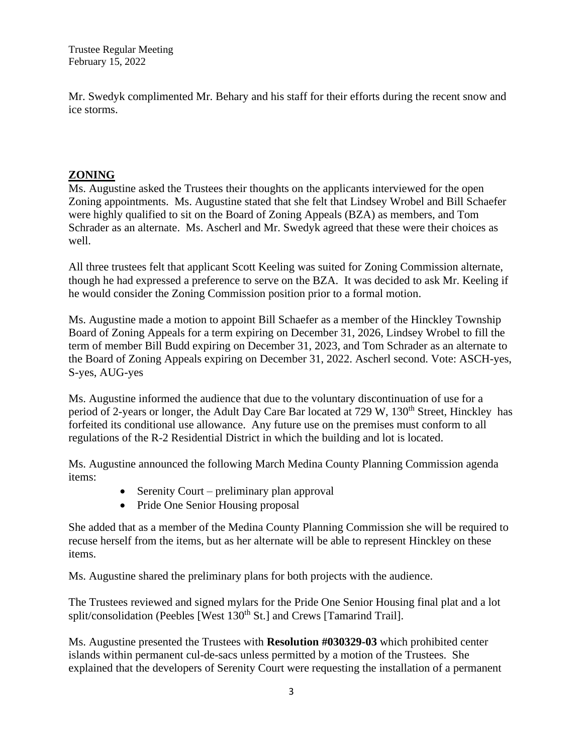Mr. Swedyk complimented Mr. Behary and his staff for their efforts during the recent snow and ice storms.

# **ZONING**

Ms. Augustine asked the Trustees their thoughts on the applicants interviewed for the open Zoning appointments. Ms. Augustine stated that she felt that Lindsey Wrobel and Bill Schaefer were highly qualified to sit on the Board of Zoning Appeals (BZA) as members, and Tom Schrader as an alternate. Ms. Ascherl and Mr. Swedyk agreed that these were their choices as well.

All three trustees felt that applicant Scott Keeling was suited for Zoning Commission alternate, though he had expressed a preference to serve on the BZA. It was decided to ask Mr. Keeling if he would consider the Zoning Commission position prior to a formal motion.

Ms. Augustine made a motion to appoint Bill Schaefer as a member of the Hinckley Township Board of Zoning Appeals for a term expiring on December 31, 2026, Lindsey Wrobel to fill the term of member Bill Budd expiring on December 31, 2023, and Tom Schrader as an alternate to the Board of Zoning Appeals expiring on December 31, 2022. Ascherl second. Vote: ASCH-yes, S-yes, AUG-yes

Ms. Augustine informed the audience that due to the voluntary discontinuation of use for a period of 2-years or longer, the Adult Day Care Bar located at 729 W, 130<sup>th</sup> Street, Hinckley has forfeited its conditional use allowance. Any future use on the premises must conform to all regulations of the R-2 Residential District in which the building and lot is located.

Ms. Augustine announced the following March Medina County Planning Commission agenda items:

- Serenity Court preliminary plan approval
- Pride One Senior Housing proposal

She added that as a member of the Medina County Planning Commission she will be required to recuse herself from the items, but as her alternate will be able to represent Hinckley on these items.

Ms. Augustine shared the preliminary plans for both projects with the audience.

The Trustees reviewed and signed mylars for the Pride One Senior Housing final plat and a lot split/consolidation (Peebles [West 130<sup>th</sup> St.] and Crews [Tamarind Trail].

Ms. Augustine presented the Trustees with **Resolution #030329-03** which prohibited center islands within permanent cul-de-sacs unless permitted by a motion of the Trustees. She explained that the developers of Serenity Court were requesting the installation of a permanent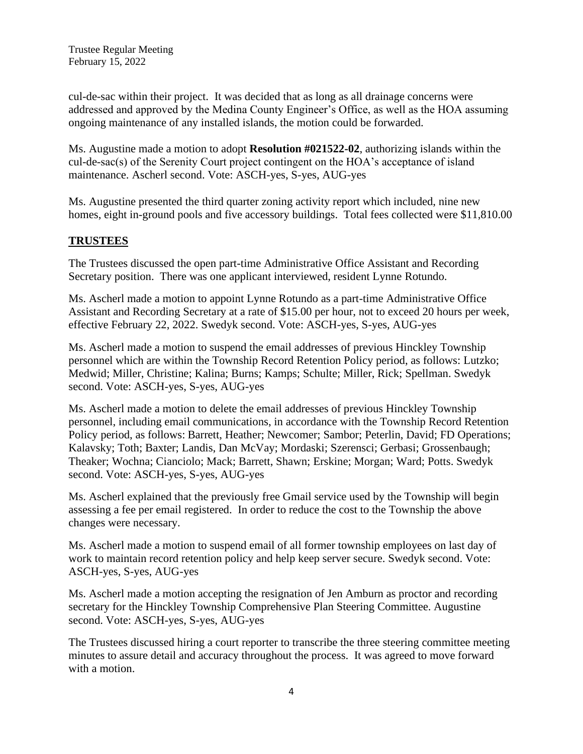cul-de-sac within their project. It was decided that as long as all drainage concerns were addressed and approved by the Medina County Engineer's Office, as well as the HOA assuming ongoing maintenance of any installed islands, the motion could be forwarded.

Ms. Augustine made a motion to adopt **Resolution #021522-02**, authorizing islands within the cul-de-sac(s) of the Serenity Court project contingent on the HOA's acceptance of island maintenance. Ascherl second. Vote: ASCH-yes, S-yes, AUG-yes

Ms. Augustine presented the third quarter zoning activity report which included, nine new homes, eight in-ground pools and five accessory buildings. Total fees collected were \$11,810.00

## **TRUSTEES**

The Trustees discussed the open part-time Administrative Office Assistant and Recording Secretary position. There was one applicant interviewed, resident Lynne Rotundo.

Ms. Ascherl made a motion to appoint Lynne Rotundo as a part-time Administrative Office Assistant and Recording Secretary at a rate of \$15.00 per hour, not to exceed 20 hours per week, effective February 22, 2022. Swedyk second. Vote: ASCH-yes, S-yes, AUG-yes

Ms. Ascherl made a motion to suspend the email addresses of previous Hinckley Township personnel which are within the Township Record Retention Policy period, as follows: Lutzko; Medwid; Miller, Christine; Kalina; Burns; Kamps; Schulte; Miller, Rick; Spellman. Swedyk second. Vote: ASCH-yes, S-yes, AUG-yes

Ms. Ascherl made a motion to delete the email addresses of previous Hinckley Township personnel, including email communications, in accordance with the Township Record Retention Policy period, as follows: Barrett, Heather; Newcomer; Sambor; Peterlin, David; FD Operations; Kalavsky; Toth; Baxter; Landis, Dan McVay; Mordaski; Szerensci; Gerbasi; Grossenbaugh; Theaker; Wochna; Cianciolo; Mack; Barrett, Shawn; Erskine; Morgan; Ward; Potts. Swedyk second. Vote: ASCH-yes, S-yes, AUG-yes

Ms. Ascherl explained that the previously free Gmail service used by the Township will begin assessing a fee per email registered. In order to reduce the cost to the Township the above changes were necessary.

Ms. Ascherl made a motion to suspend email of all former township employees on last day of work to maintain record retention policy and help keep server secure. Swedyk second. Vote: ASCH-yes, S-yes, AUG-yes

Ms. Ascherl made a motion accepting the resignation of Jen Amburn as proctor and recording secretary for the Hinckley Township Comprehensive Plan Steering Committee. Augustine second. Vote: ASCH-yes, S-yes, AUG-yes

The Trustees discussed hiring a court reporter to transcribe the three steering committee meeting minutes to assure detail and accuracy throughout the process. It was agreed to move forward with a motion.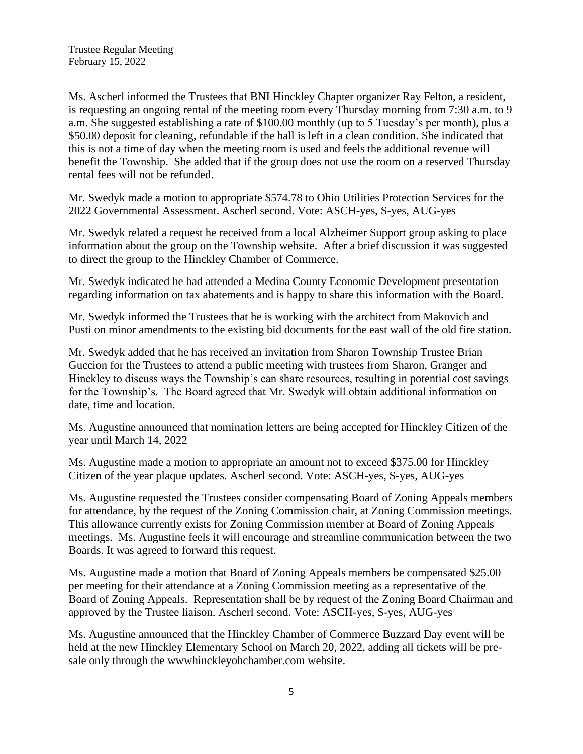Ms. Ascherl informed the Trustees that BNI Hinckley Chapter organizer Ray Felton, a resident, is requesting an ongoing rental of the meeting room every Thursday morning from 7:30 a.m. to 9 a.m. She suggested establishing a rate of \$100.00 monthly (up to 5 Tuesday's per month), plus a \$50.00 deposit for cleaning, refundable if the hall is left in a clean condition. She indicated that this is not a time of day when the meeting room is used and feels the additional revenue will benefit the Township. She added that if the group does not use the room on a reserved Thursday rental fees will not be refunded.

Mr. Swedyk made a motion to appropriate \$574.78 to Ohio Utilities Protection Services for the 2022 Governmental Assessment. Ascherl second. Vote: ASCH-yes, S-yes, AUG-yes

Mr. Swedyk related a request he received from a local Alzheimer Support group asking to place information about the group on the Township website. After a brief discussion it was suggested to direct the group to the Hinckley Chamber of Commerce.

Mr. Swedyk indicated he had attended a Medina County Economic Development presentation regarding information on tax abatements and is happy to share this information with the Board.

Mr. Swedyk informed the Trustees that he is working with the architect from Makovich and Pusti on minor amendments to the existing bid documents for the east wall of the old fire station.

Mr. Swedyk added that he has received an invitation from Sharon Township Trustee Brian Guccion for the Trustees to attend a public meeting with trustees from Sharon, Granger and Hinckley to discuss ways the Township's can share resources, resulting in potential cost savings for the Township's. The Board agreed that Mr. Swedyk will obtain additional information on date, time and location.

Ms. Augustine announced that nomination letters are being accepted for Hinckley Citizen of the year until March 14, 2022

Ms. Augustine made a motion to appropriate an amount not to exceed \$375.00 for Hinckley Citizen of the year plaque updates. Ascherl second. Vote: ASCH-yes, S-yes, AUG-yes

Ms. Augustine requested the Trustees consider compensating Board of Zoning Appeals members for attendance, by the request of the Zoning Commission chair, at Zoning Commission meetings. This allowance currently exists for Zoning Commission member at Board of Zoning Appeals meetings. Ms. Augustine feels it will encourage and streamline communication between the two Boards. It was agreed to forward this request.

Ms. Augustine made a motion that Board of Zoning Appeals members be compensated \$25.00 per meeting for their attendance at a Zoning Commission meeting as a representative of the Board of Zoning Appeals. Representation shall be by request of the Zoning Board Chairman and approved by the Trustee liaison. Ascherl second. Vote: ASCH-yes, S-yes, AUG-yes

Ms. Augustine announced that the Hinckley Chamber of Commerce Buzzard Day event will be held at the new Hinckley Elementary School on March 20, 2022, adding all tickets will be presale only through the wwwhinckleyohchamber.com website.